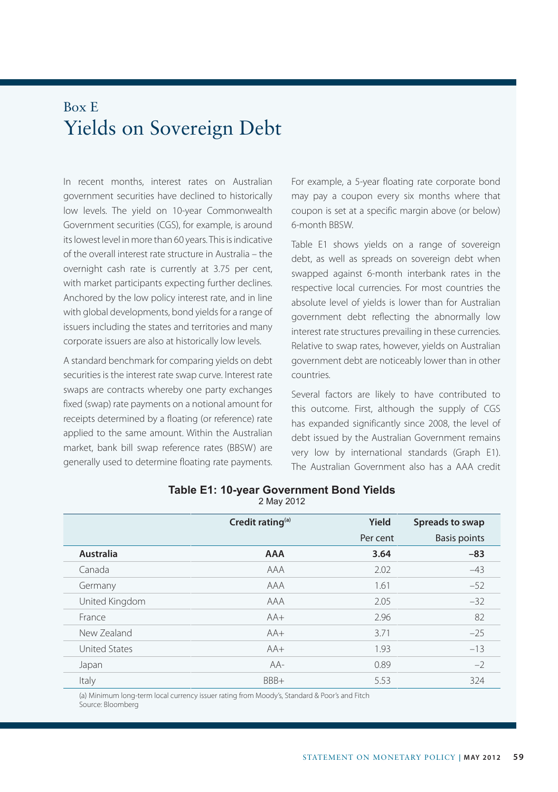## Box E Yields on Sovereign Debt

In recent months, interest rates on Australian government securities have declined to historically low levels. The yield on 10-year Commonwealth Government securities (CGS), for example, is around its lowest level in more than 60 years. This is indicative of the overall interest rate structure in Australia – the overnight cash rate is currently at 3.75 per cent, with market participants expecting further declines. Anchored by the low policy interest rate, and in line with global developments, bond yields for a range of issuers including the states and territories and many corporate issuers are also at historically low levels.

A standard benchmark for comparing yields on debt securities is the interest rate swap curve. Interest rate swaps are contracts whereby one party exchanges fixed (swap) rate payments on a notional amount for receipts determined by a floating (or reference) rate applied to the same amount. Within the Australian market, bank bill swap reference rates (BBSW) are generally used to determine floating rate payments. For example, a 5-year floating rate corporate bond may pay a coupon every six months where that coupon is set at a specific margin above (or below) 6-month BBSW.

Table E1 shows yields on a range of sovereign debt, as well as spreads on sovereign debt when swapped against 6-month interbank rates in the respective local currencies. For most countries the absolute level of yields is lower than for Australian government debt reflecting the abnormally low interest rate structures prevailing in these currencies. Relative to swap rates, however, yields on Australian government debt are noticeably lower than in other countries.

Several factors are likely to have contributed to this outcome. First, although the supply of CGS has expanded significantly since 2008, the level of debt issued by the Australian Government remains very low by international standards (Graph E1). The Australian Government also has a AAA credit

|                      | Credit rating <sup>(a)</sup> | Yield    | Spreads to swap     |
|----------------------|------------------------------|----------|---------------------|
|                      |                              | Per cent | <b>Basis points</b> |
| Australia            | <b>AAA</b>                   | 3.64     | $-83$               |
| Canada               | AAA                          | 2.02     | $-43$               |
| Germany              | AAA                          | 1.61     | $-52$               |
| United Kingdom       | AAA                          | 2.05     | $-32$               |
| France               | $AA+$                        | 2.96     | 82                  |
| New Zealand          | $AA+$                        | 3.71     | $-25$               |
| <b>United States</b> | $AA+$                        | 1.93     | $-13$               |
| Japan                | $AA-$                        | 0.89     | $-2$                |
| Italy                | BBB+                         | 5.53     | 324                 |

## **Table E1: 10-year Government Bond Yields** 2 May 2012

(a) Minimum long-term local currency issuer rating from Moody's, Standard & Poor's and Fitch Source: Bloomberg